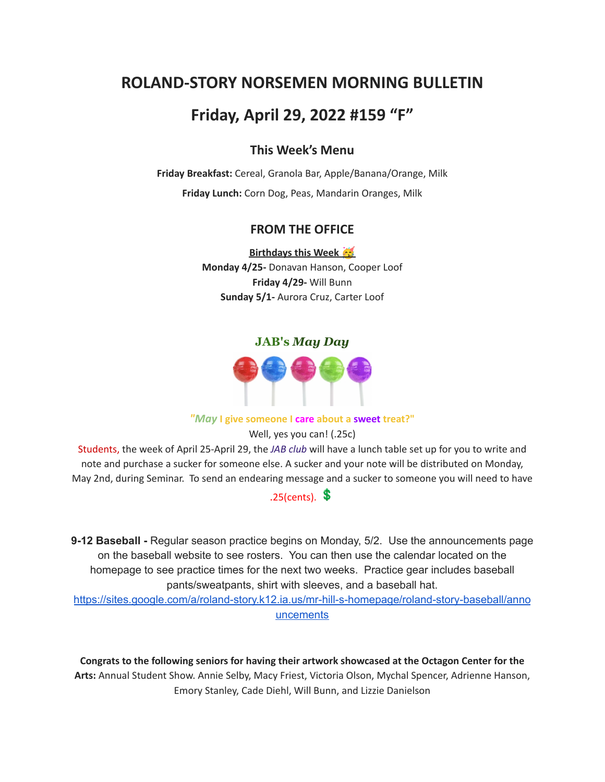# **ROLAND-STORY NORSEMEN MORNING BULLETIN**

# **Friday, April 29, 2022 #159 "F"**

# **This Week's Menu**

**Friday Breakfast:** Cereal, Granola Bar, Apple/Banana/Orange, Milk **Friday Lunch:** Corn Dog, Peas, Mandarin Oranges, Milk

## **FROM THE OFFICE**

**Birthdays this Week Monday 4/25-** Donavan Hanson, Cooper Loof **Friday 4/29-** Will Bunn **Sunday 5/1-** Aurora Cruz, Carter Loof

#### **JAB's** *May Day*



#### *"May* **I give someone I care about a sweet treat?"**

Well, yes you can! (.25c)

Students, the week of April 25-April 29, the *JAB club* will have a lunch table set up for you to write and note and purchase a sucker for someone else. A sucker and your note will be distributed on Monday, May 2nd, during Seminar. To send an endearing message and a sucker to someone you will need to have

# $.25$ (cents).  $\text{\$}$

**9-12 Baseball -** Regular season practice begins on Monday, 5/2. Use the announcements page on the baseball website to see rosters. You can then use the calendar located on the homepage to see practice times for the next two weeks. Practice gear includes baseball pants/sweatpants, shirt with sleeves, and a baseball hat.

[https://sites.google.com/a/roland-story.k12.ia.us/mr-hill-s-homepage/roland-story-baseball/anno](https://sites.google.com/a/roland-story.k12.ia.us/mr-hill-s-homepage/roland-story-baseball/announcements) [uncements](https://sites.google.com/a/roland-story.k12.ia.us/mr-hill-s-homepage/roland-story-baseball/announcements)

**Congrats to the following seniors for having their artwork showcased at the Octagon Center for the Arts:** Annual Student Show. Annie Selby, Macy Friest, Victoria Olson, Mychal Spencer, Adrienne Hanson, Emory Stanley, Cade Diehl, Will Bunn, and Lizzie Danielson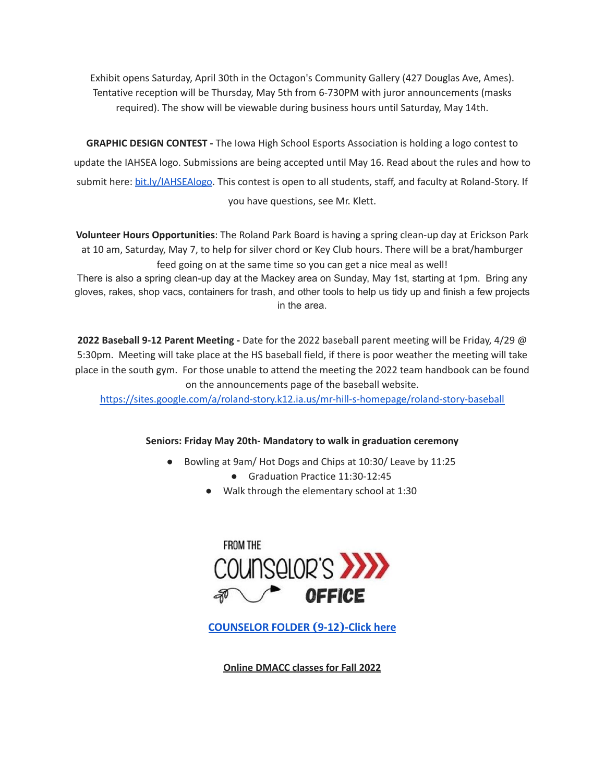Exhibit opens Saturday, April 30th in the Octagon's Community Gallery (427 Douglas Ave, Ames). Tentative reception will be Thursday, May 5th from 6-730PM with juror announcements (masks required). The show will be viewable during business hours until Saturday, May 14th.

**GRAPHIC DESIGN CONTEST -** The Iowa High School Esports Association is holding a logo contest to update the IAHSEA logo. Submissions are being accepted until May 16. Read about the rules and how to submit here: [bit.ly/IAHSEAlogo.](http://bit.ly/IAHSEAlogo) This contest is open to all students, staff, and faculty at Roland-Story. If you have questions, see Mr. Klett.

**Volunteer Hours Opportunities**: The Roland Park Board is having a spring clean-up day at Erickson Park at 10 am, Saturday, May 7, to help for silver chord or Key Club hours. There will be a brat/hamburger feed going on at the same time so you can get a nice meal as well!

There is also a spring clean-up day at the Mackey area on Sunday, May 1st, starting at 1pm. Bring any gloves, rakes, shop vacs, containers for trash, and other tools to help us tidy up and finish a few projects in the area.

**2022 Baseball 9-12 Parent Meeting -** Date for the 2022 baseball parent meeting will be Friday, 4/29 @ 5:30pm. Meeting will take place at the HS baseball field, if there is poor weather the meeting will take place in the south gym. For those unable to attend the meeting the 2022 team handbook can be found on the announcements page of the baseball website.

<https://sites.google.com/a/roland-story.k12.ia.us/mr-hill-s-homepage/roland-story-baseball>

#### **Seniors: Friday May 20th- Mandatory to walk in graduation ceremony**

- Bowling at 9am/ Hot Dogs and Chips at 10:30/ Leave by 11:25
	- Graduation Practice 11:30-12:45
	- Walk through the elementary school at 1:30



**[COUNSELOR FOLDER](https://docs.google.com/document/d/1vmwczNPbDzXe9vFaG5LJMQ7NYDv-i4oQJHybqA65TUc/edit?usp=sharing) (9-12)-Click here**

**Online DMACC classes for Fall 2022**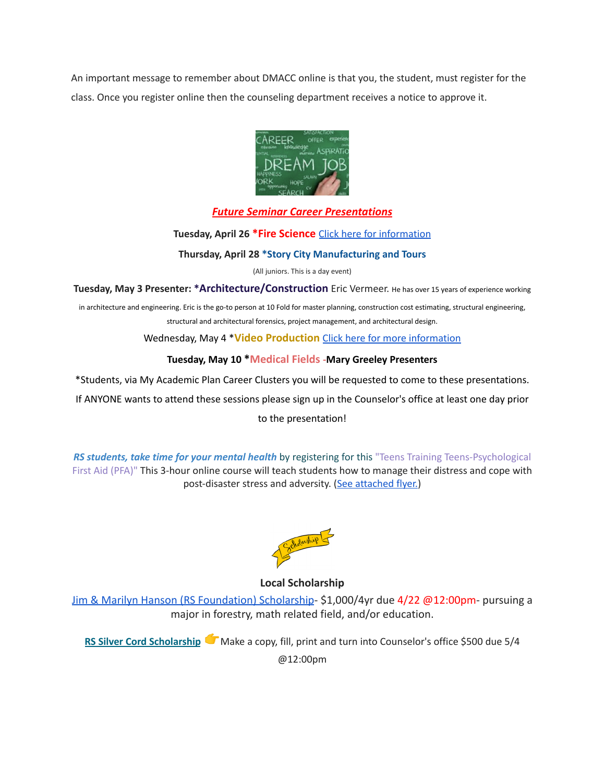An important message to remember about DMACC online is that you, the student, must register for the class. Once you register online then the counseling department receives a notice to approve it.



### *Future Seminar Career Presentations*

**Tuesday, April 26 \*Fire Science** Click here for [information](https://www.dmacc.edu/programs/fire/Pages/welcome.aspx)

**Thursday, April 28 \*Story City Manufacturing and Tours**

(All juniors. This is a day event)

**Tuesday, May 3 Presenter: \*Architecture/Construction** Eric Vermeer. He has over <sup>15</sup> years of experience working

in architecture and engineering. Eric is the go-to person at 10 Fold for master planning, construction cost estimating, structural engineering, structural and architectural forensics, project management, and architectural design.

Wednesday, May 4 \***Video Production** Click here for more [information](https://www.dmacc.edu/programs/video/Pages/welcome.aspx)

#### **Tuesday, May 10 \*Medical Fields -Mary Greeley Presenters**

\*Students, via My Academic Plan Career Clusters you will be requested to come to these presentations.

If ANYONE wants to attend these sessions please sign up in the Counselor's office at least one day prior

to the presentation!

*RS students, take time for your mental health* by registering for this "Teens Training Teens-Psychological First Aid (PFA)" This 3-hour online course will teach students how to manage their distress and cope with post-disaster stress and adversity. (See [attached](https://drive.google.com/file/d/18ZxsDgb9mTVccDP5AD1ejwqoEi1MNUwE/view?usp=sharing) flyer.)



**Local Scholarship**

[Jim & Marilyn Hanson \(RS Foundation\) Scholarship](https://docs.google.com/document/d/1ZTlh8dBWKYLTE2ZXAX8cFE_071yzMHCiRBXRqeR_Sv8/edit?usp=sharing)- \$1,000/4yr due 4/22 @12:00pm- pursuing a major in forestry, math related field, and/or education.

**RS Silver Cord [Scholarship](https://docs.google.com/document/d/12og0k5MTIc1OeFEzEig2sJZbI5ykSKtMlEJRu1iKhdA/edit?usp=sharing)** Make a copy, fill, print and turn into Counselor's office \$500 due 5/4 @12:00pm